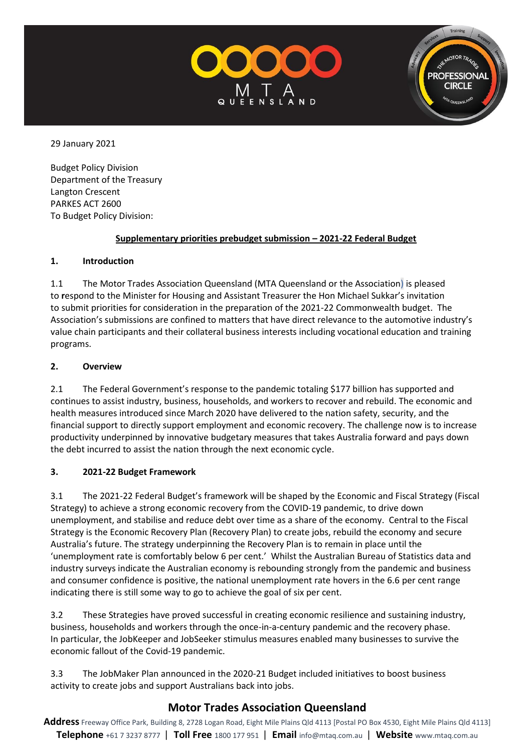



29 January 2021

Budget Policy Division Department of the Treasury Langton Crescent PARKES ACT 2600 To Budget Policy Division:

### **Supplementary priorities prebudget submission – 2021-22 Federal Budget**

# **1. Introduction**

1.1 The Motor Trades Association Queensland (MTA Queensland or the Association) is pleased to **r**espond to the Minister for Housing and Assistant Treasurer the Hon Michael Sukkar's invitation to submit priorities for consideration in the preparation of the 2021-22 Commonwealth budget.The Association's submissions are confined to matters that have direct relevance to the automotive industry's value chain participants and their collateral business interests including vocational education and training programs.

# **2. Overview**

2.1 The Federal Government's response to the pandemic totaling \$177 billion has supported and continues to assist industry, business, households, and workers to recover and rebuild. The economic and health measures introduced since March 2020 have delivered to the nation safety, security, and the financial support to directly support employment and economic recovery. The challenge now is to increase productivity underpinned by innovative budgetary measures that takes Australia forward and pays down the debt incurred to assist the nation through the next economic cycle.

# **3. 2021-22 Budget Framework**

3.1 The 2021-22 Federal Budget's framework will be shaped by the Economic and Fiscal Strategy (Fiscal Strategy) to achieve a strong economic recovery from the COVID-19 pandemic, to drive down unemployment, and stabilise and reduce debt over time as a share of the economy. Central to the Fiscal Strategy is the Economic Recovery Plan (Recovery Plan) to create jobs, rebuild the economy and secure Australia's future. The strategy underpinning the Recovery Plan is to remain in place until the 'unemployment rate is comfortably below 6 per cent.' Whilst the Australian Bureau of Statistics data and industry surveys indicate the Australian economy is rebounding strongly from the pandemic and business and consumer confidence is positive, the national unemployment rate hovers in the 6.6 per cent range indicating there is still some way to go to achieve the goal of six per cent.

3.2 These Strategies have proved successful in creating economic resilience and sustaining industry, business, households and workers through the once-in-a-century pandemic and the recovery phase. In particular, the JobKeeper and JobSeeker stimulus measures enabled many businesses to survive the economic fallout of the Covid-19 pandemic.

3.3 The JobMaker Plan announced in the 2020-21 Budget included initiatives to boost business activity to create jobs and support Australians back into jobs.

# **Motor Trades Association Queensland**

**Address** Freeway Office Park, Building 8, 2728 Logan Road, Eight Mile Plains Qld 4113 [Postal PO Box 4530, Eight Mile Plains Qld 4113] **Telephone** +61 7 3237 8777 | **Toll Free** 1800 177 951 | **Email** [info@mtaq.com.au](mailto:info@mtaq.com.au) | **Website** www.mtaq.com.au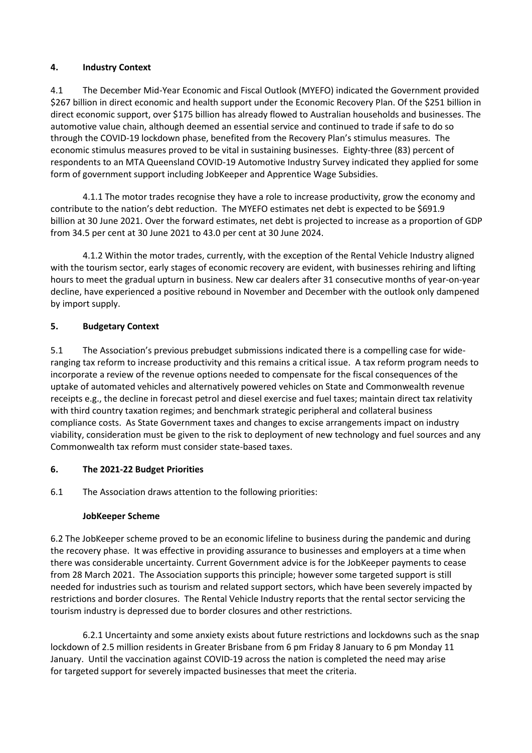### **4. Industry Context**

4.1 The December Mid-Year Economic and Fiscal Outlook (MYEFO) indicated the Government provided \$267 billion in direct economic and health support under the Economic Recovery Plan. Of the \$251 billion in direct economic support, over \$175 billion has already flowed to Australian households and businesses. The automotive value chain, although deemed an essential service and continued to trade if safe to do so through the COVID-19 lockdown phase, benefited from the Recovery Plan's stimulus measures. The economic stimulus measures proved to be vital in sustaining businesses. Eighty-three (83) percent of respondents to an MTA Queensland COVID-19 Automotive Industry Survey indicated they applied for some form of government support including JobKeeper and Apprentice Wage Subsidies.

4.1.1 The motor trades recognise they have a role to increase productivity, grow the economy and contribute to the nation's debt reduction. The MYEFO estimates net debt is expected to be \$691.9 billion at 30 June 2021. Over the forward estimates, net debt is projected to increase as a proportion of GDP from 34.5 per cent at 30 June 2021 to 43.0 per cent at 30 June 2024.

4.1.2 Within the motor trades, currently, with the exception of the Rental Vehicle Industry aligned with the tourism sector, early stages of economic recovery are evident, with businesses rehiring and lifting hours to meet the gradual upturn in business. New car dealers after 31 consecutive months of year-on-year decline, have experienced a positive rebound in November and December with the outlook only dampened by import supply.

### **5. Budgetary Context**

5.1 The Association's previous prebudget submissions indicated there is a compelling case for wideranging tax reform to increase productivity and this remains a critical issue. A tax reform program needs to incorporate a review of the revenue options needed to compensate for the fiscal consequences of the uptake of automated vehicles and alternatively powered vehicles on State and Commonwealth revenue receipts e.g., the decline in forecast petrol and diesel exercise and fuel taxes; maintain direct tax relativity with third country taxation regimes; and benchmark strategic peripheral and collateral business compliance costs. As State Government taxes and changes to excise arrangements impact on industry viability, consideration must be given to the risk to deployment of new technology and fuel sources and any Commonwealth tax reform must consider state-based taxes.

### **6. The 2021-22 Budget Priorities**

6.1 The Association draws attention to the following priorities:

### **JobKeeper Scheme**

6.2 The JobKeeper scheme proved to be an economic lifeline to business during the pandemic and during the recovery phase. It was effective in providing assurance to businesses and employers at a time when there was considerable uncertainty. Current Government advice is for the JobKeeper payments to cease from 28 March 2021. The Association supports this principle; however some targeted support is still needed for industries such as tourism and related support sectors, which have been severely impacted by restrictions and border closures. The Rental Vehicle Industry reports that the rental sector servicing the tourism industry is depressed due to border closures and other restrictions.

6.2.1 Uncertainty and some anxiety exists about future restrictions and lockdowns such as the snap lockdown of 2.5 million residents in Greater Brisbane from 6 pm Friday 8 January to 6 pm Monday 11 January. Until the vaccination against COVID-19 across the nation is completed the need may arise for targeted support for severely impacted businesses that meet the criteria.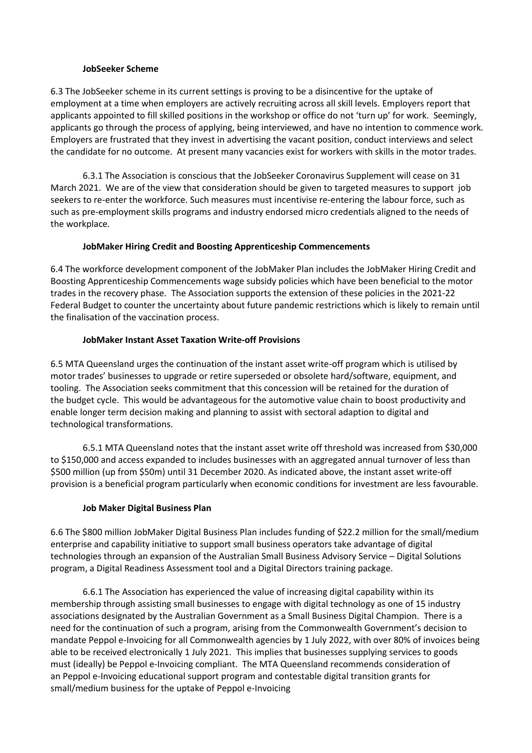#### **JobSeeker Scheme**

6.3 The JobSeeker scheme in its current settings is proving to be a disincentive for the uptake of employment at a time when employers are actively recruiting across all skill levels. Employers report that applicants appointed to fill skilled positions in the workshop or office do not 'turn up' for work. Seemingly, applicants go through the process of applying, being interviewed, and have no intention to commence work. Employers are frustrated that they invest in advertising the vacant position, conduct interviews and select the candidate for no outcome. At present many vacancies exist for workers with skills in the motor trades.

6.3.1 The Association is conscious that the JobSeeker Coronavirus Supplement will cease on 31 March 2021. We are of the view that consideration should be given to targeted measures to support job seekers to re-enter the workforce. Such measures must incentivise re-entering the labour force, such as such as pre-employment skills programs and industry endorsed micro credentials aligned to the needs of the workplace.

#### **JobMaker Hiring Credit and Boosting Apprenticeship Commencements**

6.4 The workforce development component of the JobMaker Plan includes the JobMaker Hiring Credit and Boosting Apprenticeship Commencements wage subsidy policies which have been beneficial to the motor trades in the recovery phase. The Association supports the extension of these policies in the 2021-22 Federal Budget to counter the uncertainty about future pandemic restrictions which is likely to remain until the finalisation of the vaccination process.

### **JobMaker Instant Asset Taxation Write-off Provisions**

6.5 MTA Queensland urges the continuation of the instant asset write-off program which is utilised by motor trades' businesses to upgrade or retire superseded or obsolete hard/software, equipment, and tooling. The Association seeks commitment that this concession will be retained for the duration of the budget cycle. This would be advantageous for the automotive value chain to boost productivity and enable longer term decision making and planning to assist with sectoral adaption to digital and technological transformations.

6.5.1 MTA Queensland notes that the instant asset write off threshold was increased from \$30,000 to \$150,000 and access expanded to includes businesses with an aggregated annual turnover of less than \$500 million (up from \$50m) until 31 December 2020. As indicated above, the instant asset write-off provision is a beneficial program particularly when economic conditions for investment are less favourable.

#### **Job Maker Digital Business Plan**

6.6 The \$800 million JobMaker Digital Business Plan includes funding of \$22.2 million for the small/medium enterprise and capability initiative to support small business operators take advantage of digital technologies through an expansion of the Australian Small Business Advisory Service – Digital Solutions program, a Digital Readiness Assessment tool and a Digital Directors training package.

6.6.1 The Association has experienced the value of increasing digital capability within its membership through assisting small businesses to engage with digital technology as one of 15 industry associations designated by the Australian Government as a Small Business Digital Champion. There is a need for the continuation of such a program, arising from the Commonwealth Government's decision to mandate Peppol e-Invoicing for all Commonwealth agencies by 1 July 2022, with over 80% of invoices being able to be received electronically 1 July 2021. This implies that businesses supplying services to goods must (ideally) be Peppol e-Invoicing compliant. The MTA Queensland recommends consideration of an Peppol e-Invoicing educational support program and contestable digital transition grants for small/medium business for the uptake of Peppol e-Invoicing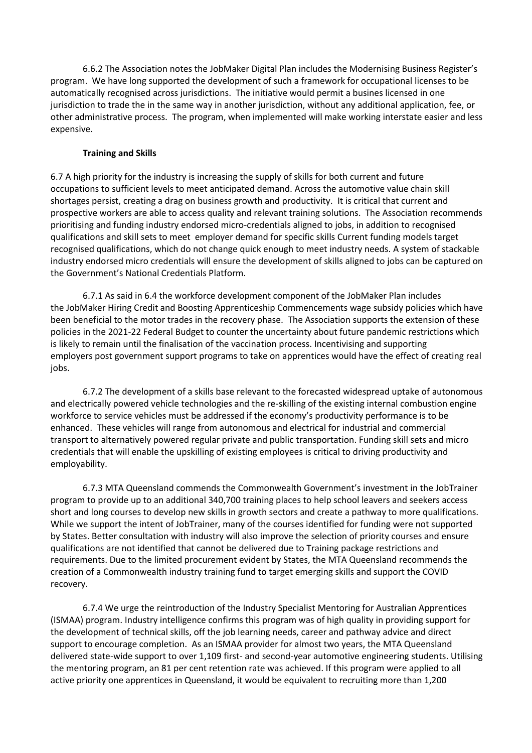6.6.2 The Association notes the JobMaker Digital Plan includes the Modernising Business Register's program. We have long supported the development of such a framework for occupational licenses to be automatically recognised across jurisdictions. The initiative would permit a busines licensed in one jurisdiction to trade the in the same way in another jurisdiction, without any additional application, fee, or other administrative process. The program, when implemented will make working interstate easier and less expensive.

### **Training and Skills**

6.7 A high priority for the industry is increasing the supply of skills for both current and future occupations to sufficient levels to meet anticipated demand. Across the automotive value chain skill shortages persist, creating a drag on business growth and productivity. It is critical that current and prospective workers are able to access quality and relevant training solutions. The Association recommends prioritising and funding industry endorsed micro-credentials aligned to jobs, in addition to recognised qualifications and skill sets to meet employer demand for specific skills Current funding models target recognised qualifications, which do not change quick enough to meet industry needs. A system of stackable industry endorsed micro credentials will ensure the development of skills aligned to jobs can be captured on the Government's National Credentials Platform.

6.7.1 As said in 6.4 the workforce development component of the JobMaker Plan includes the JobMaker Hiring Credit and Boosting Apprenticeship Commencements wage subsidy policies which have been beneficial to the motor trades in the recovery phase. The Association supports the extension of these policies in the 2021-22 Federal Budget to counter the uncertainty about future pandemic restrictions which is likely to remain until the finalisation of the vaccination process. Incentivising and supporting employers post government support programs to take on apprentices would have the effect of creating real jobs.

6.7.2 The development of a skills base relevant to the forecasted widespread uptake of autonomous and electrically powered vehicle technologies and the re-skilling of the existing internal combustion engine workforce to service vehicles must be addressed if the economy's productivity performance is to be enhanced. These vehicles will range from autonomous and electrical for industrial and commercial transport to alternatively powered regular private and public transportation. Funding skill sets and micro credentials that will enable the upskilling of existing employees is critical to driving productivity and employability.

6.7.3 MTA Queensland commends the Commonwealth Government's investment in the JobTrainer program to provide up to an additional 340,700 training places to help school leavers and seekers access short and long courses to develop new skills in growth sectors and create a pathway to more qualifications. While we support the intent of JobTrainer, many of the courses identified for funding were not supported by States. Better consultation with industry will also improve the selection of priority courses and ensure qualifications are not identified that cannot be delivered due to Training package restrictions and requirements. Due to the limited procurement evident by States, the MTA Queensland recommends the creation of a Commonwealth industry training fund to target emerging skills and support the COVID recovery.

6.7.4 We urge the reintroduction of the Industry Specialist Mentoring for Australian Apprentices (ISMAA) program. Industry intelligence confirms this program was of high quality in providing support for the development of technical skills, off the job learning needs, career and pathway advice and direct support to encourage completion. As an ISMAA provider for almost two years, the MTA Queensland delivered state-wide support to over 1,109 first- and second-year automotive engineering students. Utilising the mentoring program, an 81 per cent retention rate was achieved. If this program were applied to all active priority one apprentices in Queensland, it would be equivalent to recruiting more than 1,200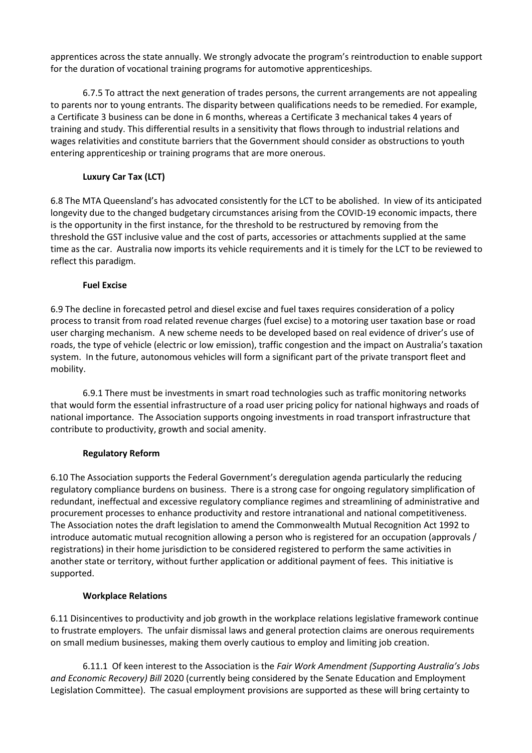apprentices across the state annually. We strongly advocate the program's reintroduction to enable support for the duration of vocational training programs for automotive apprenticeships.

6.7.5 To attract the next generation of trades persons, the current arrangements are not appealing to parents nor to young entrants. The disparity between qualifications needs to be remedied. For example, a Certificate 3 business can be done in 6 months, whereas a Certificate 3 mechanical takes 4 years of training and study. This differential results in a sensitivity that flows through to industrial relations and wages relativities and constitute barriers that the Government should consider as obstructions to youth entering apprenticeship or training programs that are more onerous.

# **Luxury Car Tax (LCT)**

6.8 The MTA Queensland's has advocated consistently for the LCT to be abolished. In view of its anticipated longevity due to the changed budgetary circumstances arising from the COVID-19 economic impacts, there is the opportunity in the first instance, for the threshold to be restructured by removing from the threshold the GST inclusive value and the cost of parts, accessories or attachments supplied at the same time as the car. Australia now imports its vehicle requirements and it is timely for the LCT to be reviewed to reflect this paradigm.

### **Fuel Excise**

6.9 The decline in forecasted petrol and diesel excise and fuel taxes requires consideration of a policy process to transit from road related revenue charges (fuel excise) to a motoring user taxation base or road user charging mechanism. A new scheme needs to be developed based on real evidence of driver's use of roads, the type of vehicle (electric or low emission), traffic congestion and the impact on Australia's taxation system. In the future, autonomous vehicles will form a significant part of the private transport fleet and mobility.

6.9.1 There must be investments in smart road technologies such as traffic monitoring networks that would form the essential infrastructure of a road user pricing policy for national highways and roads of national importance. The Association supports ongoing investments in road transport infrastructure that contribute to productivity, growth and social amenity.

### **Regulatory Reform**

6.10 The Association supports the Federal Government's deregulation agenda particularly the reducing regulatory compliance burdens on business. There is a strong case for ongoing regulatory simplification of redundant, ineffectual and excessive regulatory compliance regimes and streamlining of administrative and procurement processes to enhance productivity and restore intranational and national competitiveness. The Association notes the draft legislation to amend the Commonwealth Mutual Recognition Act 1992 to introduce automatic mutual recognition allowing a person who is registered for an occupation (approvals / registrations) in their home jurisdiction to be considered registered to perform the same activities in another state or territory, without further application or additional payment of fees. This initiative is supported.

### **Workplace Relations**

6.11 Disincentives to productivity and job growth in the workplace relations legislative framework continue to frustrate employers. The unfair dismissal laws and general protection claims are onerous requirements on small medium businesses, making them overly cautious to employ and limiting job creation.

6.11.1 Of keen interest to the Association is the *Fair Work Amendment (Supporting Australia's Jobs and Economic Recovery) Bill* 2020 (currently being considered by the Senate Education and Employment Legislation Committee). The casual employment provisions are supported as these will bring certainty to